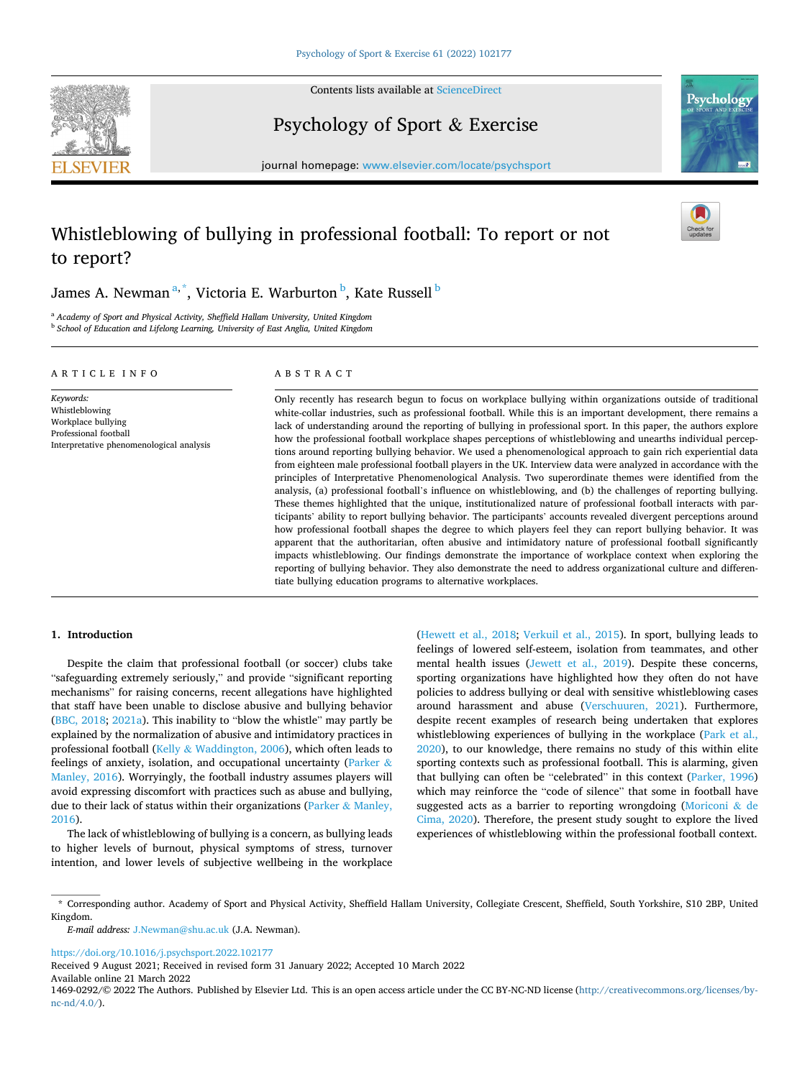

Contents lists available at [ScienceDirect](www.sciencedirect.com/science/journal/14690292)

Psychology of Sport & Exercise



journal homepage: [www.elsevier.com/locate/psychsport](https://www.elsevier.com/locate/psychsport)

# Whistleblowing of bullying in professional football: To report or not to report?

James A. Newman<sup>a,\*</sup>, Victoria E. Warburton <sup>b</sup>, Kate Russell <sup>b</sup>

<sup>a</sup> Academy of Sport and Physical Activity, Sheffield Hallam University, United Kingdom <sup>b</sup> *School of Education and Lifelong Learning, University of East Anglia, United Kingdom* 

### ARTICLE INFO

# ABSTRACT

*Keywords:*  Whistleblowing Workplace bullying Professional football Interpretative phenomenological analysis

Only recently has research begun to focus on workplace bullying within organizations outside of traditional white-collar industries, such as professional football. While this is an important development, there remains a lack of understanding around the reporting of bullying in professional sport. In this paper, the authors explore how the professional football workplace shapes perceptions of whistleblowing and unearths individual perceptions around reporting bullying behavior. We used a phenomenological approach to gain rich experiential data from eighteen male professional football players in the UK. Interview data were analyzed in accordance with the principles of Interpretative Phenomenological Analysis. Two superordinate themes were identified from the analysis, (a) professional football's influence on whistleblowing, and (b) the challenges of reporting bullying. These themes highlighted that the unique, institutionalized nature of professional football interacts with participants' ability to report bullying behavior. The participants' accounts revealed divergent perceptions around how professional football shapes the degree to which players feel they can report bullying behavior. It was apparent that the authoritarian, often abusive and intimidatory nature of professional football significantly impacts whistleblowing. Our findings demonstrate the importance of workplace context when exploring the reporting of bullying behavior. They also demonstrate the need to address organizational culture and differentiate bullying education programs to alternative workplaces.

# **1. Introduction**

Despite the claim that professional football (or soccer) clubs take "safeguarding extremely seriously," and provide "significant reporting mechanisms" for raising concerns, recent allegations have highlighted that staff have been unable to disclose abusive and bullying behavior ([BBC, 2018;](#page-8-0) [2021a\)](#page-8-0). This inability to "blow the whistle" may partly be explained by the normalization of abusive and intimidatory practices in professional football (Kelly & [Waddington, 2006](#page-9-0)), which often leads to feelings of anxiety, isolation, and occupational uncertainty [\(Parker](#page-9-0)  $\&$ [Manley, 2016\)](#page-9-0). Worryingly, the football industry assumes players will avoid expressing discomfort with practices such as abuse and bullying, due to their lack of status within their organizations (Parker & [Manley,](#page-9-0)  [2016\)](#page-9-0).

The lack of whistleblowing of bullying is a concern, as bullying leads to higher levels of burnout, physical symptoms of stress, turnover intention, and lower levels of subjective wellbeing in the workplace

([Hewett et al., 2018;](#page-8-0) [Verkuil et al., 2015\)](#page-9-0). In sport, bullying leads to feelings of lowered self-esteem, isolation from teammates, and other mental health issues ([Jewett et al., 2019\)](#page-9-0). Despite these concerns, sporting organizations have highlighted how they often do not have policies to address bullying or deal with sensitive whistleblowing cases around harassment and abuse [\(Verschuuren, 2021](#page-9-0)). Furthermore, despite recent examples of research being undertaken that explores whistleblowing experiences of bullying in the workplace ([Park et al.,](#page-9-0)  [2020\)](#page-9-0), to our knowledge, there remains no study of this within elite sporting contexts such as professional football. This is alarming, given that bullying can often be "celebrated" in this context [\(Parker, 1996\)](#page-9-0) which may reinforce the "code of silence" that some in football have suggested acts as a barrier to reporting wrongdoing ([Moriconi](#page-9-0)  $\&$  de [Cima, 2020\)](#page-9-0). Therefore, the present study sought to explore the lived experiences of whistleblowing within the professional football context.

<https://doi.org/10.1016/j.psychsport.2022.102177>

Available online 21 March 2022 Received 9 August 2021; Received in revised form 31 January 2022; Accepted 10 March 2022

<sup>\*</sup> Corresponding author. Academy of Sport and Physical Activity, Sheffield Hallam University, Collegiate Crescent, Sheffield, South Yorkshire, S10 2BP, United Kingdom.

*E-mail address:* [J.Newman@shu.ac.uk](mailto:J.Newman@shu.ac.uk) (J.A. Newman).

<sup>1469-0292/© 2022</sup> The Authors. Published by Elsevier Ltd. This is an open access article under the CC BY-NC-ND license([http://creativecommons.org/licenses/by](http://creativecommons.org/licenses/by-nc-nd/4.0/) $nc\text{-}nd/4.0/$ ).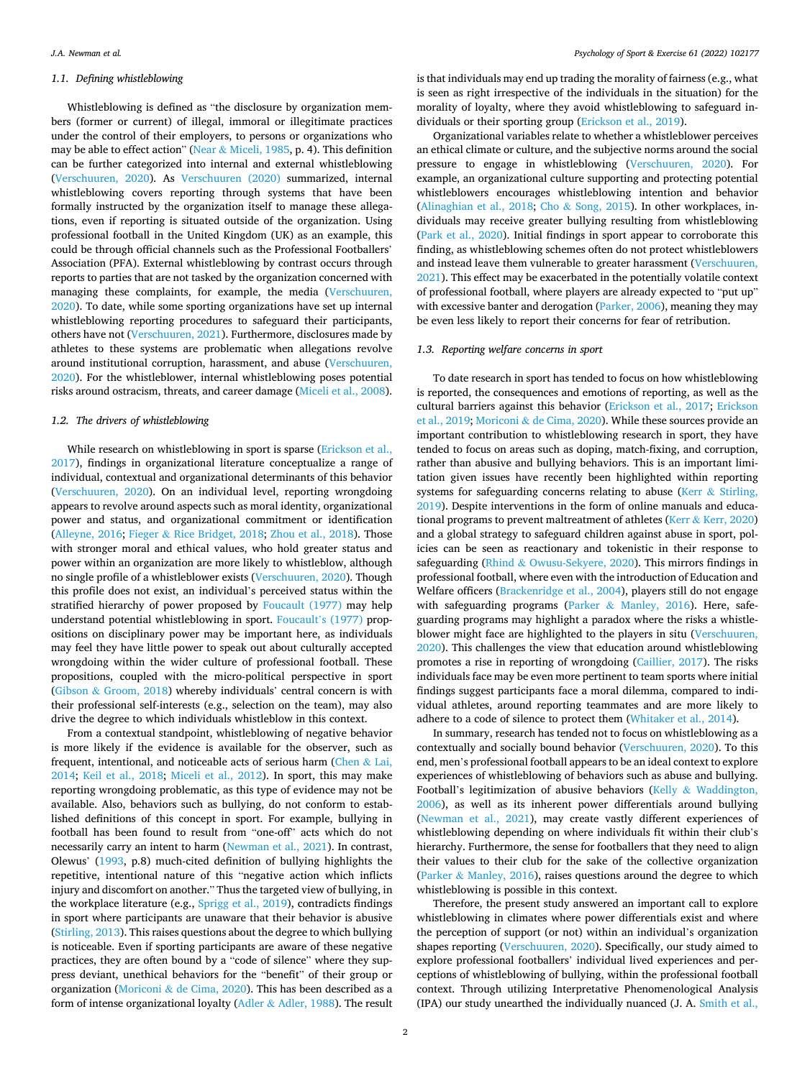# *1.1. Defining whistleblowing*

Whistleblowing is defined as "the disclosure by organization members (former or current) of illegal, immoral or illegitimate practices under the control of their employers, to persons or organizations who may be able to effect action" (Near & [Miceli, 1985](#page-9-0), p. 4). This definition can be further categorized into internal and external whistleblowing ([Verschuuren, 2020\)](#page-9-0). As [Verschuuren \(2020\)](#page-9-0) summarized, internal whistleblowing covers reporting through systems that have been formally instructed by the organization itself to manage these allegations, even if reporting is situated outside of the organization. Using professional football in the United Kingdom (UK) as an example, this could be through official channels such as the Professional Footballers' Association (PFA). External whistleblowing by contrast occurs through reports to parties that are not tasked by the organization concerned with managing these complaints, for example, the media [\(Verschuuren,](#page-9-0)  [2020\)](#page-9-0). To date, while some sporting organizations have set up internal whistleblowing reporting procedures to safeguard their participants, others have not [\(Verschuuren, 2021\)](#page-9-0). Furthermore, disclosures made by athletes to these systems are problematic when allegations revolve around institutional corruption, harassment, and abuse [\(Verschuuren,](#page-9-0)  [2020\)](#page-9-0). For the whistleblower, internal whistleblowing poses potential risks around ostracism, threats, and career damage [\(Miceli et al., 2008](#page-9-0)).

# *1.2. The drivers of whistleblowing*

While research on whistleblowing in sport is sparse (Erickson et al., [2017\)](#page-8-0), findings in organizational literature conceptualize a range of individual, contextual and organizational determinants of this behavior ([Verschuuren, 2020](#page-9-0)). On an individual level, reporting wrongdoing appears to revolve around aspects such as moral identity, organizational power and status, and organizational commitment or identification ([Alleyne, 2016](#page-8-0); Fieger & [Rice Bridget, 2018](#page-8-0); [Zhou et al., 2018](#page-9-0)). Those with stronger moral and ethical values, who hold greater status and power within an organization are more likely to whistleblow, although no single profile of a whistleblower exists ([Verschuuren, 2020](#page-9-0)). Though this profile does not exist, an individual's perceived status within the stratified hierarchy of power proposed by [Foucault \(1977\)](#page-8-0) may help understand potential whistleblowing in sport. [Foucault](#page-8-0)'s (1977) propositions on disciplinary power may be important here, as individuals may feel they have little power to speak out about culturally accepted wrongdoing within the wider culture of professional football. These propositions, coupled with the micro-political perspective in sport (Gibson & [Groom, 2018\)](#page-8-0) whereby individuals' central concern is with their professional self-interests (e.g., selection on the team), may also drive the degree to which individuals whistleblow in this context.

From a contextual standpoint, whistleblowing of negative behavior is more likely if the evidence is available for the observer, such as frequent, intentional, and noticeable acts of serious harm ([Chen](#page-8-0) & Lai, [2014;](#page-8-0) [Keil et al., 2018](#page-9-0); [Miceli et al., 2012\)](#page-9-0). In sport, this may make reporting wrongdoing problematic, as this type of evidence may not be available. Also, behaviors such as bullying, do not conform to established definitions of this concept in sport. For example, bullying in football has been found to result from "one-off" acts which do not necessarily carry an intent to harm ([Newman et al., 2021\)](#page-9-0). In contrast, Olewus' ([1993,](#page-9-0) p.8) much-cited definition of bullying highlights the repetitive, intentional nature of this "negative action which inflicts injury and discomfort on another." Thus the targeted view of bullying, in the workplace literature (e.g.,  $Spring$  et al., 2019), contradicts findings in sport where participants are unaware that their behavior is abusive ([Stirling, 2013](#page-9-0)). This raises questions about the degree to which bullying is noticeable. Even if sporting participants are aware of these negative practices, they are often bound by a "code of silence" where they suppress deviant, unethical behaviors for the "benefit" of their group or organization (Moriconi & [de Cima, 2020](#page-9-0)). This has been described as a form of intense organizational loyalty (Adler & [Adler, 1988](#page-8-0)). The result is that individuals may end up trading the morality of fairness (e.g., what is seen as right irrespective of the individuals in the situation) for the morality of loyalty, where they avoid whistleblowing to safeguard individuals or their sporting group [\(Erickson et al., 2019](#page-8-0)).

Organizational variables relate to whether a whistleblower perceives an ethical climate or culture, and the subjective norms around the social pressure to engage in whistleblowing [\(Verschuuren, 2020](#page-9-0)). For example, an organizational culture supporting and protecting potential whistleblowers encourages whistleblowing intention and behavior ([Alinaghian et al., 2018](#page-8-0); Cho & [Song, 2015\)](#page-8-0). In other workplaces, individuals may receive greater bullying resulting from whistleblowing ([Park et al., 2020\)](#page-9-0). Initial findings in sport appear to corroborate this finding, as whistleblowing schemes often do not protect whistleblowers and instead leave them vulnerable to greater harassment [\(Verschuuren,](#page-9-0)  [2021\)](#page-9-0). This effect may be exacerbated in the potentially volatile context of professional football, where players are already expected to "put up" with excessive banter and derogation [\(Parker, 2006](#page-9-0)), meaning they may be even less likely to report their concerns for fear of retribution.

# *1.3. Reporting welfare concerns in sport*

To date research in sport has tended to focus on how whistleblowing is reported, the consequences and emotions of reporting, as well as the cultural barriers against this behavior ([Erickson et al., 2017](#page-8-0); [Erickson](#page-8-0)  [et al., 2019;](#page-8-0) Moriconi & [de Cima, 2020](#page-9-0)). While these sources provide an important contribution to whistleblowing research in sport, they have tended to focus on areas such as doping, match-fixing, and corruption, rather than abusive and bullying behaviors. This is an important limitation given issues have recently been highlighted within reporting systems for safeguarding concerns relating to abuse (Kerr & [Stirling,](#page-9-0)  [2019\)](#page-9-0). Despite interventions in the form of online manuals and educational programs to prevent maltreatment of athletes (Kerr & [Kerr, 2020\)](#page-9-0) and a global strategy to safeguard children against abuse in sport, policies can be seen as reactionary and tokenistic in their response to safeguarding (Rhind & [Owusu-Sekyere, 2020](#page-9-0)). This mirrors findings in professional football, where even with the introduction of Education and Welfare officers ([Brackenridge et al., 2004\)](#page-8-0), players still do not engage with safeguarding programs (Parker & [Manley, 2016\)](#page-9-0). Here, safeguarding programs may highlight a paradox where the risks a whistleblower might face are highlighted to the players in situ [\(Verschuuren,](#page-9-0)  [2020\)](#page-9-0). This challenges the view that education around whistleblowing promotes a rise in reporting of wrongdoing [\(Caillier, 2017](#page-8-0)). The risks individuals face may be even more pertinent to team sports where initial findings suggest participants face a moral dilemma, compared to individual athletes, around reporting teammates and are more likely to adhere to a code of silence to protect them ([Whitaker et al., 2014\)](#page-9-0).

In summary, research has tended not to focus on whistleblowing as a contextually and socially bound behavior [\(Verschuuren, 2020\)](#page-9-0). To this end, men's professional football appears to be an ideal context to explore experiences of whistleblowing of behaviors such as abuse and bullying. Football's legitimization of abusive behaviors (Kelly & [Waddington,](#page-9-0)  [2006\)](#page-9-0), as well as its inherent power differentials around bullying ([Newman et al., 2021\)](#page-9-0), may create vastly different experiences of whistleblowing depending on where individuals fit within their club's hierarchy. Furthermore, the sense for footballers that they need to align their values to their club for the sake of the collective organization (Parker & [Manley, 2016\)](#page-9-0), raises questions around the degree to which whistleblowing is possible in this context.

Therefore, the present study answered an important call to explore whistleblowing in climates where power differentials exist and where the perception of support (or not) within an individual's organization shapes reporting ([Verschuuren, 2020\)](#page-9-0). Specifically, our study aimed to explore professional footballers' individual lived experiences and perceptions of whistleblowing of bullying, within the professional football context. Through utilizing Interpretative Phenomenological Analysis (IPA) our study unearthed the individually nuanced (J. A. [Smith et al.,](#page-9-0)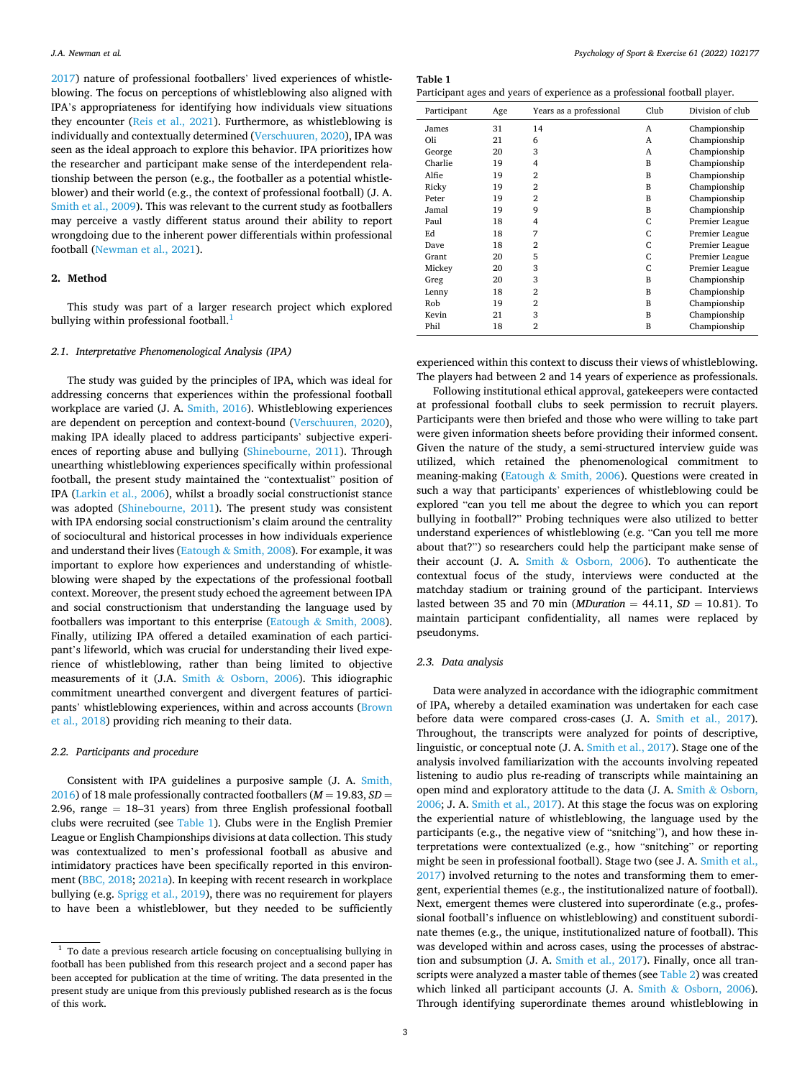<span id="page-2-0"></span>[2017\)](#page-9-0) nature of professional footballers' lived experiences of whistleblowing. The focus on perceptions of whistleblowing also aligned with IPA's appropriateness for identifying how individuals view situations they encounter ([Reis et al., 2021](#page-9-0)). Furthermore, as whistleblowing is individually and contextually determined [\(Verschuuren, 2020\)](#page-9-0), IPA was seen as the ideal approach to explore this behavior. IPA prioritizes how the researcher and participant make sense of the interdependent relationship between the person (e.g., the footballer as a potential whistleblower) and their world (e.g., the context of professional football) (J. A. [Smith et al., 2009\)](#page-9-0). This was relevant to the current study as footballers may perceive a vastly different status around their ability to report wrongdoing due to the inherent power differentials within professional football [\(Newman et al., 2021](#page-9-0)).

# **2. Method**

This study was part of a larger research project which explored bullying within professional football.<sup>1</sup>

# *2.1. Interpretative Phenomenological Analysis (IPA)*

The study was guided by the principles of IPA, which was ideal for addressing concerns that experiences within the professional football workplace are varied (J. A. [Smith, 2016\)](#page-9-0). Whistleblowing experiences are dependent on perception and context-bound ([Verschuuren, 2020](#page-9-0)), making IPA ideally placed to address participants' subjective experiences of reporting abuse and bullying ([Shinebourne, 2011\)](#page-9-0). Through unearthing whistleblowing experiences specifically within professional football, the present study maintained the "contextualist" position of IPA ([Larkin et al., 2006](#page-9-0)), whilst a broadly social constructionist stance was adopted ([Shinebourne, 2011](#page-9-0)). The present study was consistent with IPA endorsing social constructionism's claim around the centrality of sociocultural and historical processes in how individuals experience and understand their lives (Eatough  $\&$  [Smith, 2008](#page-8-0)). For example, it was important to explore how experiences and understanding of whistleblowing were shaped by the expectations of the professional football context. Moreover, the present study echoed the agreement between IPA and social constructionism that understanding the language used by footballers was important to this enterprise (Eatough  $&$  [Smith, 2008](#page-8-0)). Finally, utilizing IPA offered a detailed examination of each participant's lifeworld, which was crucial for understanding their lived experience of whistleblowing, rather than being limited to objective measurements of it (J.A. Smith & [Osborn, 2006\)](#page-9-0). This idiographic commitment unearthed convergent and divergent features of participants' whistleblowing experiences, within and across accounts ([Brown](#page-8-0)  [et al., 2018\)](#page-8-0) providing rich meaning to their data.

### *2.2. Participants and procedure*

Consistent with IPA guidelines a purposive sample (J. A. [Smith,](#page-9-0)   $2016$ ) of 18 male professionally contracted footballers ( $M = 19.83$ ,  $SD =$ 2.96, range  $= 18-31$  years) from three English professional football clubs were recruited (see Table 1). Clubs were in the English Premier League or English Championships divisions at data collection. This study was contextualized to men's professional football as abusive and intimidatory practices have been specifically reported in this environment ([BBC, 2018](#page-8-0); [2021a\)](#page-8-0). In keeping with recent research in workplace bullying (e.g. [Sprigg et al., 2019](#page-9-0)), there was no requirement for players to have been a whistleblower, but they needed to be sufficiently

**Table 1** 

|  | Participant ages and years of experience as a professional football player. |
|--|-----------------------------------------------------------------------------|
|  |                                                                             |

| Participant | Age | Years as a professional | Club | Division of club |
|-------------|-----|-------------------------|------|------------------|
| James       | 31  | 14                      | A    | Championship     |
| Oli         | 21  | 6                       | A    | Championship     |
| George      | 20  | 3                       | A    | Championship     |
| Charlie     | 19  | 4                       | B    | Championship     |
| Alfie       | 19  | $\overline{2}$          | B    | Championship     |
| Ricky       | 19  | $\overline{2}$          | B    | Championship     |
| Peter       | 19  | $\overline{2}$          | B    | Championship     |
| Jamal       | 19  | 9                       | B    | Championship     |
| Paul        | 18  | 4                       | C.   | Premier League   |
| Ed          | 18  | 7                       | C    | Premier League   |
| Dave        | 18  | $\overline{2}$          | C    | Premier League   |
| Grant       | 20  | 5                       | C    | Premier League   |
| Mickey      | 20  | 3                       | C    | Premier League   |
| Greg        | 20  | 3                       | B    | Championship     |
| Lenny       | 18  | $\overline{2}$          | B    | Championship     |
| Rob         | 19  | $\overline{2}$          | B    | Championship     |
| Kevin       | 21  | 3                       | B    | Championship     |
| Phil        | 18  | $\overline{2}$          | B    | Championship     |

experienced within this context to discuss their views of whistleblowing. The players had between 2 and 14 years of experience as professionals.

Following institutional ethical approval, gatekeepers were contacted at professional football clubs to seek permission to recruit players. Participants were then briefed and those who were willing to take part were given information sheets before providing their informed consent. Given the nature of the study, a semi-structured interview guide was utilized, which retained the phenomenological commitment to meaning-making (Eatough & [Smith, 2006](#page-8-0)). Questions were created in such a way that participants' experiences of whistleblowing could be explored "can you tell me about the degree to which you can report bullying in football?" Probing techniques were also utilized to better understand experiences of whistleblowing (e.g. "Can you tell me more about that?") so researchers could help the participant make sense of their account (J. A. Smith & [Osborn, 2006\)](#page-9-0). To authenticate the contextual focus of the study, interviews were conducted at the matchday stadium or training ground of the participant. Interviews lasted between 35 and 70 min (*MDuration*  $=$  44.11, *SD*  $=$  10.81). To maintain participant confidentiality, all names were replaced by pseudonyms.

# *2.3. Data analysis*

Data were analyzed in accordance with the idiographic commitment of IPA, whereby a detailed examination was undertaken for each case before data were compared cross-cases (J. A. [Smith et al., 2017](#page-9-0)). Throughout, the transcripts were analyzed for points of descriptive, linguistic, or conceptual note (J. A. [Smith et al., 2017](#page-9-0)). Stage one of the analysis involved familiarization with the accounts involving repeated listening to audio plus re-reading of transcripts while maintaining an open mind and exploratory attitude to the data (J. A. Smith & [Osborn,](#page-9-0)  [2006;](#page-9-0) J. A. [Smith et al., 2017](#page-9-0)). At this stage the focus was on exploring the experiential nature of whistleblowing, the language used by the participants (e.g., the negative view of "snitching"), and how these interpretations were contextualized (e.g., how "snitching" or reporting might be seen in professional football). Stage two (see J. A. [Smith et al.,](#page-9-0)  [2017\)](#page-9-0) involved returning to the notes and transforming them to emergent, experiential themes (e.g., the institutionalized nature of football). Next, emergent themes were clustered into superordinate (e.g., professional football's influence on whistleblowing) and constituent subordinate themes (e.g., the unique, institutionalized nature of football). This was developed within and across cases, using the processes of abstraction and subsumption (J. A. [Smith et al., 2017\)](#page-9-0). Finally, once all transcripts were analyzed a master table of themes (see [Table 2\)](#page-3-0) was created which linked all participant accounts (J. A. Smith & [Osborn, 2006](#page-9-0)). Through identifying superordinate themes around whistleblowing in

 $1$  To date a previous research article focusing on conceptualising bullying in football has been published from this research project and a second paper has been accepted for publication at the time of writing. The data presented in the present study are unique from this previously published research as is the focus of this work.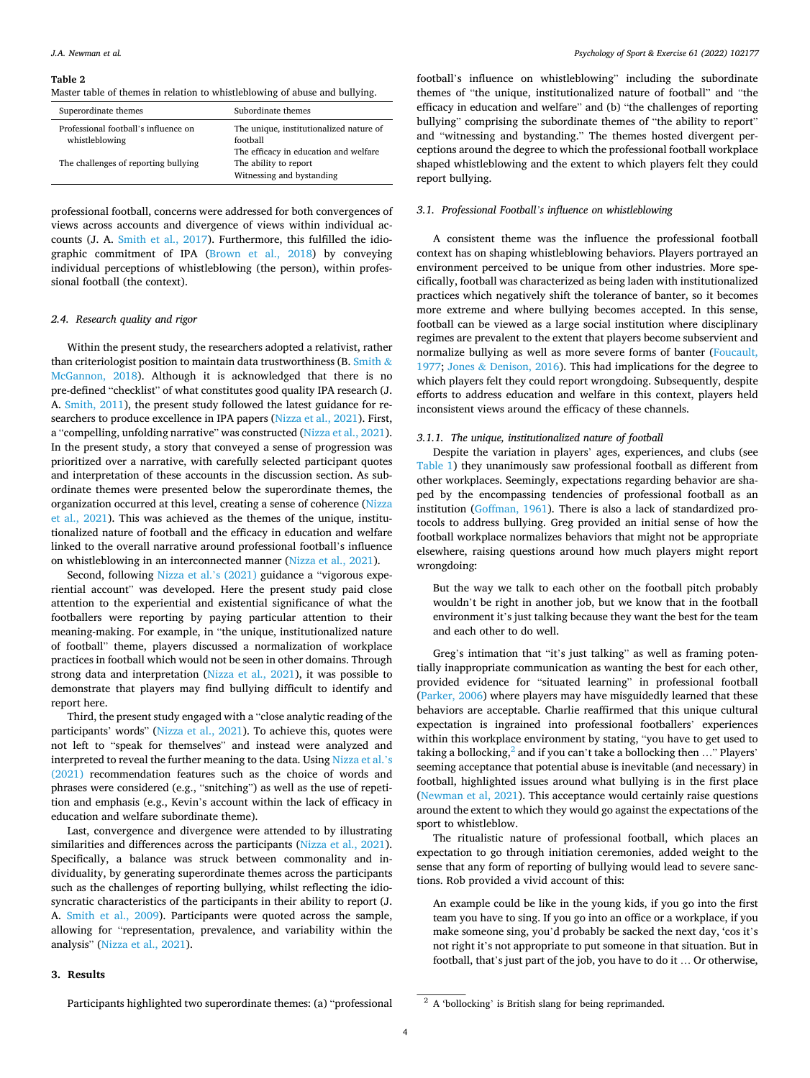<span id="page-3-0"></span>*J.A. Newman et al.* 

#### **Table 2**

Master table of themes in relation to whistleblowing of abuse and bullying.

| Superordinate themes                                   | Subordinate themes                                                                          |
|--------------------------------------------------------|---------------------------------------------------------------------------------------------|
| Professional football's influence on<br>whistleblowing | The unique, institutionalized nature of<br>football                                         |
| The challenges of reporting bullying                   | The efficacy in education and welfare<br>The ability to report<br>Witnessing and bystanding |

professional football, concerns were addressed for both convergences of views across accounts and divergence of views within individual accounts (J. A. [Smith et al., 2017\)](#page-9-0). Furthermore, this fulfilled the idiographic commitment of IPA [\(Brown et al., 2018\)](#page-8-0) by conveying individual perceptions of whistleblowing (the person), within professional football (the context).

# *2.4. Research quality and rigor*

Within the present study, the researchers adopted a relativist, rather than criteriologist position to maintain data trustworthiness (B. [Smith](#page-9-0)  $\&$ [McGannon, 2018](#page-9-0)). Although it is acknowledged that there is no pre-defined "checklist" of what constitutes good quality IPA research (J. A. [Smith, 2011](#page-9-0)), the present study followed the latest guidance for researchers to produce excellence in IPA papers [\(Nizza et al., 2021](#page-9-0)). First, a "compelling, unfolding narrative" was constructed [\(Nizza et al., 2021](#page-9-0)). In the present study, a story that conveyed a sense of progression was prioritized over a narrative, with carefully selected participant quotes and interpretation of these accounts in the discussion section. As subordinate themes were presented below the superordinate themes, the organization occurred at this level, creating a sense of coherence [\(Nizza](#page-9-0)  [et al., 2021](#page-9-0)). This was achieved as the themes of the unique, institutionalized nature of football and the efficacy in education and welfare linked to the overall narrative around professional football's influence on whistleblowing in an interconnected manner ([Nizza et al., 2021\)](#page-9-0).

Second, following [Nizza et al.](#page-9-0)'s (2021) guidance a "vigorous experiential account" was developed. Here the present study paid close attention to the experiential and existential significance of what the footballers were reporting by paying particular attention to their meaning-making. For example, in "the unique, institutionalized nature of football" theme, players discussed a normalization of workplace practices in football which would not be seen in other domains. Through strong data and interpretation ([Nizza et al., 2021\)](#page-9-0), it was possible to demonstrate that players may find bullying difficult to identify and report here.

Third, the present study engaged with a "close analytic reading of the participants' words" [\(Nizza et al., 2021\)](#page-9-0). To achieve this, quotes were not left to "speak for themselves" and instead were analyzed and interpreted to reveal the further meaning to the data. Using [Nizza et al.](#page-9-0)'s [\(2021\)](#page-9-0) recommendation features such as the choice of words and phrases were considered (e.g., "snitching") as well as the use of repetition and emphasis (e.g., Kevin's account within the lack of efficacy in education and welfare subordinate theme).

Last, convergence and divergence were attended to by illustrating similarities and differences across the participants ([Nizza et al., 2021](#page-9-0)). Specifically, a balance was struck between commonality and individuality, by generating superordinate themes across the participants such as the challenges of reporting bullying, whilst reflecting the idiosyncratic characteristics of the participants in their ability to report (J. A. [Smith et al., 2009\)](#page-9-0). Participants were quoted across the sample, allowing for "representation, prevalence, and variability within the analysis" [\(Nizza et al., 2021\)](#page-9-0).

football's influence on whistleblowing" including the subordinate themes of "the unique, institutionalized nature of football" and "the efficacy in education and welfare" and (b) "the challenges of reporting bullying" comprising the subordinate themes of "the ability to report" and "witnessing and bystanding." The themes hosted divergent perceptions around the degree to which the professional football workplace shaped whistleblowing and the extent to which players felt they could report bullying.

### *3.1. Professional Football's influence on whistleblowing*

A consistent theme was the influence the professional football context has on shaping whistleblowing behaviors. Players portrayed an environment perceived to be unique from other industries. More specifically, football was characterized as being laden with institutionalized practices which negatively shift the tolerance of banter, so it becomes more extreme and where bullying becomes accepted. In this sense, football can be viewed as a large social institution where disciplinary regimes are prevalent to the extent that players become subservient and normalize bullying as well as more severe forms of banter ([Foucault,](#page-8-0)  [1977;](#page-8-0) Jones & [Denison, 2016](#page-9-0)). This had implications for the degree to which players felt they could report wrongdoing. Subsequently, despite efforts to address education and welfare in this context, players held inconsistent views around the efficacy of these channels.

# *3.1.1. The unique, institutionalized nature of football*

Despite the variation in players' ages, experiences, and clubs (see [Table 1](#page-2-0)) they unanimously saw professional football as different from other workplaces. Seemingly, expectations regarding behavior are shaped by the encompassing tendencies of professional football as an institution [\(Goffman, 1961\)](#page-8-0). There is also a lack of standardized protocols to address bullying. Greg provided an initial sense of how the football workplace normalizes behaviors that might not be appropriate elsewhere, raising questions around how much players might report wrongdoing:

But the way we talk to each other on the football pitch probably wouldn't be right in another job, but we know that in the football environment it's just talking because they want the best for the team and each other to do well.

Greg's intimation that "it's just talking" as well as framing potentially inappropriate communication as wanting the best for each other, provided evidence for "situated learning" in professional football ([Parker, 2006](#page-9-0)) where players may have misguidedly learned that these behaviors are acceptable. Charlie reaffirmed that this unique cultural expectation is ingrained into professional footballers' experiences within this workplace environment by stating, "you have to get used to taking a bollocking, $^2$  and if you can't take a bollocking then  $\ldots$ " Players' seeming acceptance that potential abuse is inevitable (and necessary) in football, highlighted issues around what bullying is in the first place ([Newman et al, 2021](#page-9-0)). This acceptance would certainly raise questions around the extent to which they would go against the expectations of the sport to whistleblow.

The ritualistic nature of professional football, which places an expectation to go through initiation ceremonies, added weight to the sense that any form of reporting of bullying would lead to severe sanctions. Rob provided a vivid account of this:

An example could be like in the young kids, if you go into the first team you have to sing. If you go into an office or a workplace, if you make someone sing, you'd probably be sacked the next day, 'cos it's not right it's not appropriate to put someone in that situation. But in football, that's just part of the job, you have to do it … Or otherwise,

# **3. Results**

Participants highlighted two superordinate themes: (a) "professional

<sup>2</sup> A 'bollocking' is British slang for being reprimanded.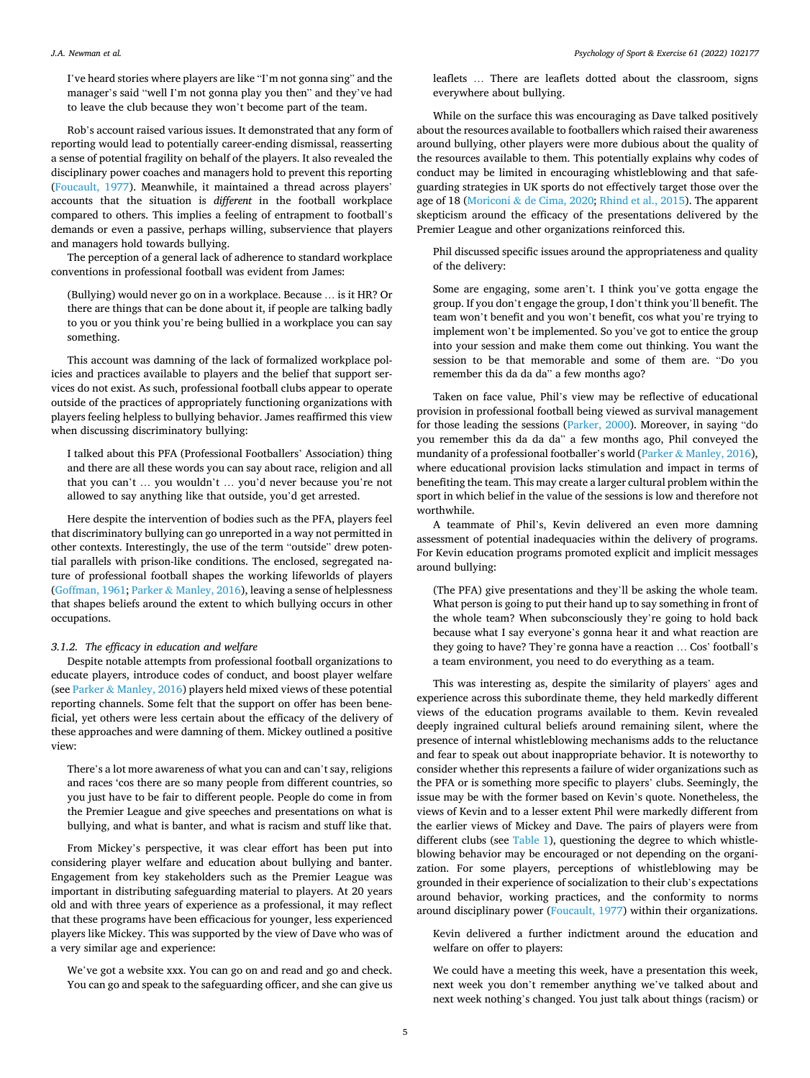I've heard stories where players are like "I'm not gonna sing" and the manager's said "well I'm not gonna play you then" and they've had to leave the club because they won't become part of the team.

Rob's account raised various issues. It demonstrated that any form of reporting would lead to potentially career-ending dismissal, reasserting a sense of potential fragility on behalf of the players. It also revealed the disciplinary power coaches and managers hold to prevent this reporting ([Foucault, 1977](#page-8-0)). Meanwhile, it maintained a thread across players' accounts that the situation is *different* in the football workplace compared to others. This implies a feeling of entrapment to football's demands or even a passive, perhaps willing, subservience that players and managers hold towards bullying.

The perception of a general lack of adherence to standard workplace conventions in professional football was evident from James:

(Bullying) would never go on in a workplace. Because … is it HR? Or there are things that can be done about it, if people are talking badly to you or you think you're being bullied in a workplace you can say something.

This account was damning of the lack of formalized workplace policies and practices available to players and the belief that support services do not exist. As such, professional football clubs appear to operate outside of the practices of appropriately functioning organizations with players feeling helpless to bullying behavior. James reaffirmed this view when discussing discriminatory bullying:

I talked about this PFA (Professional Footballers' Association) thing and there are all these words you can say about race, religion and all that you can't … you wouldn't … you'd never because you're not allowed to say anything like that outside, you'd get arrested.

Here despite the intervention of bodies such as the PFA, players feel that discriminatory bullying can go unreported in a way not permitted in other contexts. Interestingly, the use of the term "outside" drew potential parallels with prison-like conditions. The enclosed, segregated nature of professional football shapes the working lifeworlds of players ([Goffman, 1961;](#page-8-0) Parker & [Manley, 2016](#page-9-0)), leaving a sense of helplessness that shapes beliefs around the extent to which bullying occurs in other occupations.

# *3.1.2. The efficacy in education and welfare*

Despite notable attempts from professional football organizations to educate players, introduce codes of conduct, and boost player welfare (see Parker & [Manley, 2016](#page-9-0)) players held mixed views of these potential reporting channels. Some felt that the support on offer has been beneficial, yet others were less certain about the efficacy of the delivery of these approaches and were damning of them. Mickey outlined a positive view:

There's a lot more awareness of what you can and can't say, religions and races 'cos there are so many people from different countries, so you just have to be fair to different people. People do come in from the Premier League and give speeches and presentations on what is bullying, and what is banter, and what is racism and stuff like that.

From Mickey's perspective, it was clear effort has been put into considering player welfare and education about bullying and banter. Engagement from key stakeholders such as the Premier League was important in distributing safeguarding material to players. At 20 years old and with three years of experience as a professional, it may reflect that these programs have been efficacious for younger, less experienced players like Mickey. This was supported by the view of Dave who was of a very similar age and experience:

We've got a website xxx. You can go on and read and go and check. You can go and speak to the safeguarding officer, and she can give us leaflets … There are leaflets dotted about the classroom, signs everywhere about bullying.

While on the surface this was encouraging as Dave talked positively about the resources available to footballers which raised their awareness around bullying, other players were more dubious about the quality of the resources available to them. This potentially explains why codes of conduct may be limited in encouraging whistleblowing and that safeguarding strategies in UK sports do not effectively target those over the age of 18 (Moriconi & [de Cima, 2020; Rhind et al., 2015\)](#page-9-0). The apparent skepticism around the efficacy of the presentations delivered by the Premier League and other organizations reinforced this.

Phil discussed specific issues around the appropriateness and quality of the delivery:

Some are engaging, some aren't. I think you've gotta engage the group. If you don't engage the group, I don't think you'll benefit. The team won't benefit and you won't benefit, cos what you're trying to implement won't be implemented. So you've got to entice the group into your session and make them come out thinking. You want the session to be that memorable and some of them are. "Do you remember this da da da" a few months ago?

Taken on face value, Phil's view may be reflective of educational provision in professional football being viewed as survival management for those leading the sessions [\(Parker, 2000](#page-9-0)). Moreover, in saying "do you remember this da da da" a few months ago, Phil conveyed the mundanity of a professional footballer's world (Parker & [Manley, 2016](#page-9-0)), where educational provision lacks stimulation and impact in terms of benefiting the team. This may create a larger cultural problem within the sport in which belief in the value of the sessions is low and therefore not worthwhile.

A teammate of Phil's, Kevin delivered an even more damning assessment of potential inadequacies within the delivery of programs. For Kevin education programs promoted explicit and implicit messages around bullying:

(The PFA) give presentations and they'll be asking the whole team. What person is going to put their hand up to say something in front of the whole team? When subconsciously they're going to hold back because what I say everyone's gonna hear it and what reaction are they going to have? They're gonna have a reaction … Cos' football's a team environment, you need to do everything as a team.

This was interesting as, despite the similarity of players' ages and experience across this subordinate theme, they held markedly different views of the education programs available to them. Kevin revealed deeply ingrained cultural beliefs around remaining silent, where the presence of internal whistleblowing mechanisms adds to the reluctance and fear to speak out about inappropriate behavior. It is noteworthy to consider whether this represents a failure of wider organizations such as the PFA or is something more specific to players' clubs. Seemingly, the issue may be with the former based on Kevin's quote. Nonetheless, the views of Kevin and to a lesser extent Phil were markedly different from the earlier views of Mickey and Dave. The pairs of players were from different clubs (see [Table 1\)](#page-2-0), questioning the degree to which whistleblowing behavior may be encouraged or not depending on the organization. For some players, perceptions of whistleblowing may be grounded in their experience of socialization to their club's expectations around behavior, working practices, and the conformity to norms around disciplinary power [\(Foucault, 1977](#page-8-0)) within their organizations.

Kevin delivered a further indictment around the education and welfare on offer to players:

We could have a meeting this week, have a presentation this week, next week you don't remember anything we've talked about and next week nothing's changed. You just talk about things (racism) or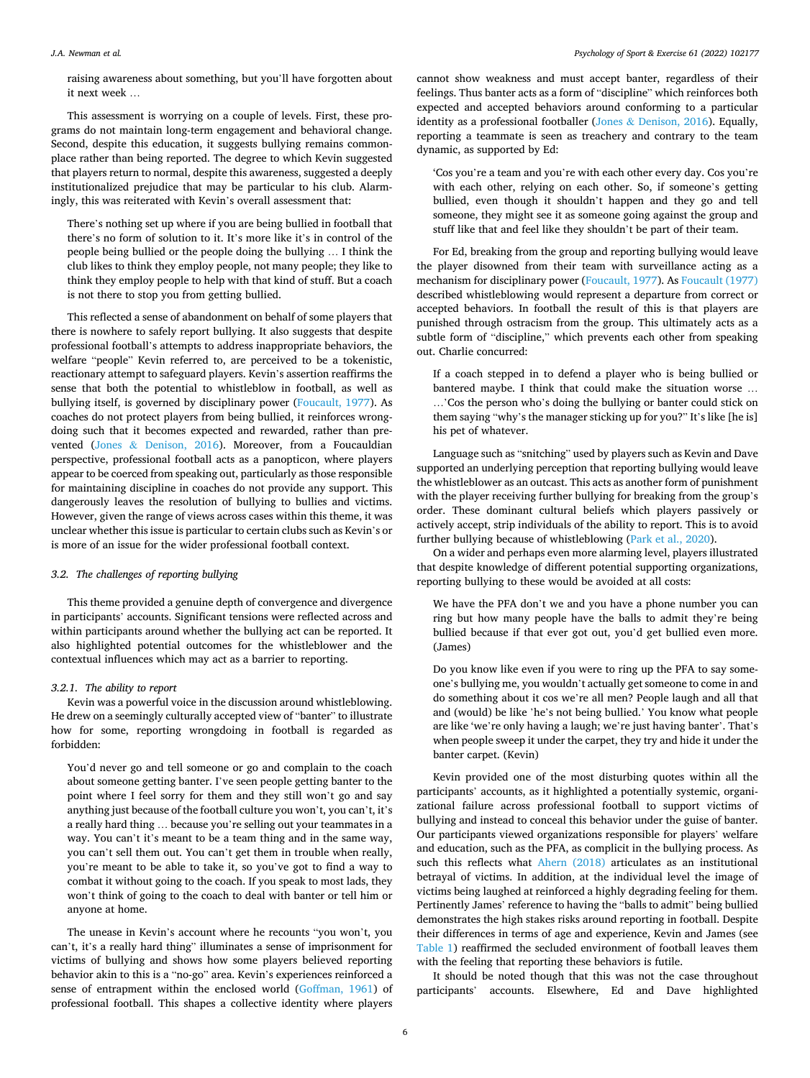### *J.A. Newman et al.*

raising awareness about something, but you'll have forgotten about it next week …

This assessment is worrying on a couple of levels. First, these programs do not maintain long-term engagement and behavioral change. Second, despite this education, it suggests bullying remains commonplace rather than being reported. The degree to which Kevin suggested that players return to normal, despite this awareness, suggested a deeply institutionalized prejudice that may be particular to his club. Alarmingly, this was reiterated with Kevin's overall assessment that:

There's nothing set up where if you are being bullied in football that there's no form of solution to it. It's more like it's in control of the people being bullied or the people doing the bullying … I think the club likes to think they employ people, not many people; they like to think they employ people to help with that kind of stuff. But a coach is not there to stop you from getting bullied.

This reflected a sense of abandonment on behalf of some players that there is nowhere to safely report bullying. It also suggests that despite professional football's attempts to address inappropriate behaviors, the welfare "people" Kevin referred to, are perceived to be a tokenistic, reactionary attempt to safeguard players. Kevin's assertion reaffirms the sense that both the potential to whistleblow in football, as well as bullying itself, is governed by disciplinary power ([Foucault, 1977](#page-8-0)). As coaches do not protect players from being bullied, it reinforces wrongdoing such that it becomes expected and rewarded, rather than prevented (Jones & [Denison, 2016](#page-9-0)). Moreover, from a Foucauldian perspective, professional football acts as a panopticon, where players appear to be coerced from speaking out, particularly as those responsible for maintaining discipline in coaches do not provide any support. This dangerously leaves the resolution of bullying to bullies and victims. However, given the range of views across cases within this theme, it was unclear whether this issue is particular to certain clubs such as Kevin's or is more of an issue for the wider professional football context.

# *3.2. The challenges of reporting bullying*

This theme provided a genuine depth of convergence and divergence in participants' accounts. Significant tensions were reflected across and within participants around whether the bullying act can be reported. It also highlighted potential outcomes for the whistleblower and the contextual influences which may act as a barrier to reporting.

# *3.2.1. The ability to report*

Kevin was a powerful voice in the discussion around whistleblowing. He drew on a seemingly culturally accepted view of "banter" to illustrate how for some, reporting wrongdoing in football is regarded as forbidden:

You'd never go and tell someone or go and complain to the coach about someone getting banter. I've seen people getting banter to the point where I feel sorry for them and they still won't go and say anything just because of the football culture you won't, you can't, it's a really hard thing … because you're selling out your teammates in a way. You can't it's meant to be a team thing and in the same way, you can't sell them out. You can't get them in trouble when really, you're meant to be able to take it, so you've got to find a way to combat it without going to the coach. If you speak to most lads, they won't think of going to the coach to deal with banter or tell him or anyone at home.

The unease in Kevin's account where he recounts "you won't, you can't, it's a really hard thing" illuminates a sense of imprisonment for victims of bullying and shows how some players believed reporting behavior akin to this is a "no-go" area. Kevin's experiences reinforced a sense of entrapment within the enclosed world [\(Goffman, 1961\)](#page-8-0) of professional football. This shapes a collective identity where players cannot show weakness and must accept banter, regardless of their feelings. Thus banter acts as a form of "discipline" which reinforces both expected and accepted behaviors around conforming to a particular identity as a professional footballer (Jones & [Denison, 2016\)](#page-9-0). Equally, reporting a teammate is seen as treachery and contrary to the team dynamic, as supported by Ed:

'Cos you're a team and you're with each other every day. Cos you're with each other, relying on each other. So, if someone's getting bullied, even though it shouldn't happen and they go and tell someone, they might see it as someone going against the group and stuff like that and feel like they shouldn't be part of their team.

For Ed, breaking from the group and reporting bullying would leave the player disowned from their team with surveillance acting as a mechanism for disciplinary power ([Foucault, 1977\)](#page-8-0). As [Foucault \(1977\)](#page-8-0)  described whistleblowing would represent a departure from correct or accepted behaviors. In football the result of this is that players are punished through ostracism from the group. This ultimately acts as a subtle form of "discipline," which prevents each other from speaking out. Charlie concurred:

If a coach stepped in to defend a player who is being bullied or bantered maybe. I think that could make the situation worse … …'Cos the person who's doing the bullying or banter could stick on them saying "why's the manager sticking up for you?" It's like [he is] his pet of whatever.

Language such as "snitching" used by players such as Kevin and Dave supported an underlying perception that reporting bullying would leave the whistleblower as an outcast. This acts as another form of punishment with the player receiving further bullying for breaking from the group's order. These dominant cultural beliefs which players passively or actively accept, strip individuals of the ability to report. This is to avoid further bullying because of whistleblowing ([Park et al., 2020](#page-9-0)).

On a wider and perhaps even more alarming level, players illustrated that despite knowledge of different potential supporting organizations, reporting bullying to these would be avoided at all costs:

We have the PFA don't we and you have a phone number you can ring but how many people have the balls to admit they're being bullied because if that ever got out, you'd get bullied even more. (James)

Do you know like even if you were to ring up the PFA to say someone's bullying me, you wouldn't actually get someone to come in and do something about it cos we're all men? People laugh and all that and (would) be like 'he's not being bullied.' You know what people are like 'we're only having a laugh; we're just having banter'. That's when people sweep it under the carpet, they try and hide it under the banter carpet. (Kevin)

Kevin provided one of the most disturbing quotes within all the participants' accounts, as it highlighted a potentially systemic, organizational failure across professional football to support victims of bullying and instead to conceal this behavior under the guise of banter. Our participants viewed organizations responsible for players' welfare and education, such as the PFA, as complicit in the bullying process. As such this reflects what [Ahern \(2018\)](#page-8-0) articulates as an institutional betrayal of victims. In addition, at the individual level the image of victims being laughed at reinforced a highly degrading feeling for them. Pertinently James' reference to having the "balls to admit" being bullied demonstrates the high stakes risks around reporting in football. Despite their differences in terms of age and experience, Kevin and James (see [Table 1\)](#page-2-0) reaffirmed the secluded environment of football leaves them with the feeling that reporting these behaviors is futile.

It should be noted though that this was not the case throughout participants' accounts. Elsewhere, Ed and Dave highlighted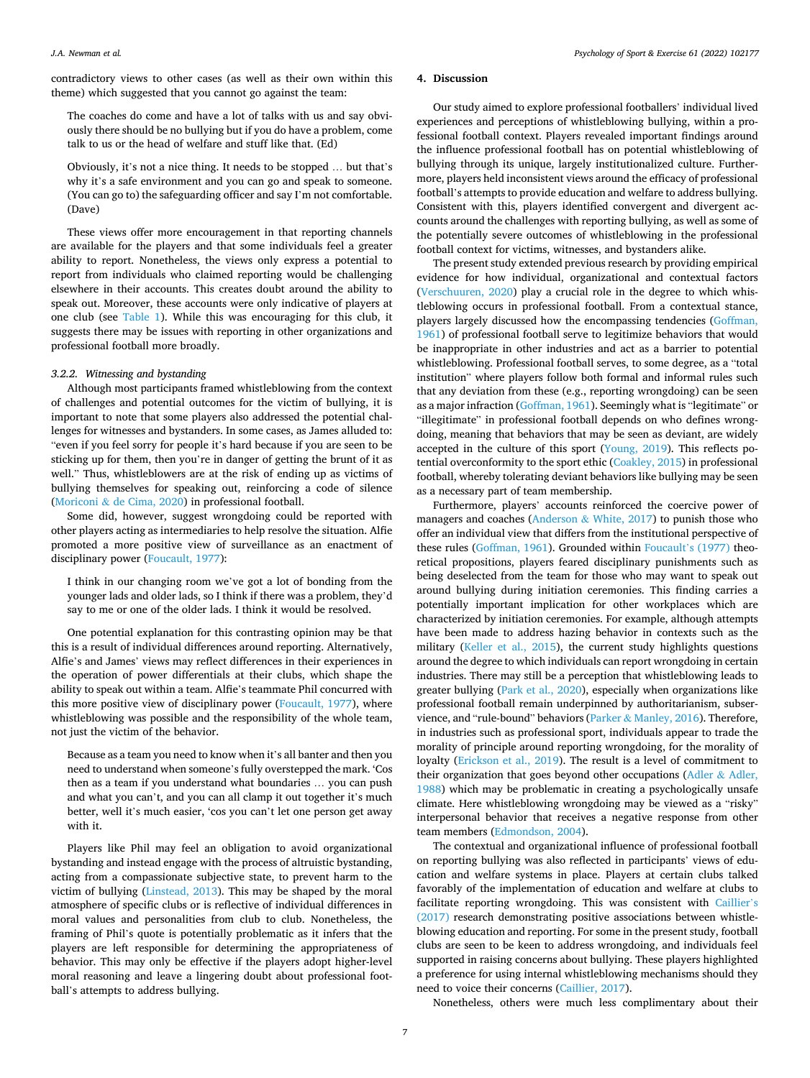contradictory views to other cases (as well as their own within this theme) which suggested that you cannot go against the team:

The coaches do come and have a lot of talks with us and say obviously there should be no bullying but if you do have a problem, come talk to us or the head of welfare and stuff like that. (Ed)

Obviously, it's not a nice thing. It needs to be stopped … but that's why it's a safe environment and you can go and speak to someone. (You can go to) the safeguarding officer and say I'm not comfortable. (Dave)

These views offer more encouragement in that reporting channels are available for the players and that some individuals feel a greater ability to report. Nonetheless, the views only express a potential to report from individuals who claimed reporting would be challenging elsewhere in their accounts. This creates doubt around the ability to speak out. Moreover, these accounts were only indicative of players at one club (see [Table 1](#page-2-0)). While this was encouraging for this club, it suggests there may be issues with reporting in other organizations and professional football more broadly.

# *3.2.2. Witnessing and bystanding*

Although most participants framed whistleblowing from the context of challenges and potential outcomes for the victim of bullying, it is important to note that some players also addressed the potential challenges for witnesses and bystanders. In some cases, as James alluded to: "even if you feel sorry for people it's hard because if you are seen to be sticking up for them, then you're in danger of getting the brunt of it as well." Thus, whistleblowers are at the risk of ending up as victims of bullying themselves for speaking out, reinforcing a code of silence (Moriconi & [de Cima, 2020](#page-9-0)) in professional football.

Some did, however, suggest wrongdoing could be reported with other players acting as intermediaries to help resolve the situation. Alfie promoted a more positive view of surveillance as an enactment of disciplinary power ([Foucault, 1977\)](#page-8-0):

I think in our changing room we've got a lot of bonding from the younger lads and older lads, so I think if there was a problem, they'd say to me or one of the older lads. I think it would be resolved.

One potential explanation for this contrasting opinion may be that this is a result of individual differences around reporting. Alternatively, Alfie's and James' views may reflect differences in their experiences in the operation of power differentials at their clubs, which shape the ability to speak out within a team. Alfie's teammate Phil concurred with this more positive view of disciplinary power ([Foucault, 1977\)](#page-8-0), where whistleblowing was possible and the responsibility of the whole team, not just the victim of the behavior.

Because as a team you need to know when it's all banter and then you need to understand when someone's fully overstepped the mark. 'Cos then as a team if you understand what boundaries … you can push and what you can't, and you can all clamp it out together it's much better, well it's much easier, 'cos you can't let one person get away with it.

Players like Phil may feel an obligation to avoid organizational bystanding and instead engage with the process of altruistic bystanding, acting from a compassionate subjective state, to prevent harm to the victim of bullying [\(Linstead, 2013\)](#page-9-0). This may be shaped by the moral atmosphere of specific clubs or is reflective of individual differences in moral values and personalities from club to club. Nonetheless, the framing of Phil's quote is potentially problematic as it infers that the players are left responsible for determining the appropriateness of behavior. This may only be effective if the players adopt higher-level moral reasoning and leave a lingering doubt about professional football's attempts to address bullying.

### **4. Discussion**

Our study aimed to explore professional footballers' individual lived experiences and perceptions of whistleblowing bullying, within a professional football context. Players revealed important findings around the influence professional football has on potential whistleblowing of bullying through its unique, largely institutionalized culture. Furthermore, players held inconsistent views around the efficacy of professional football's attempts to provide education and welfare to address bullying. Consistent with this, players identified convergent and divergent accounts around the challenges with reporting bullying, as well as some of the potentially severe outcomes of whistleblowing in the professional football context for victims, witnesses, and bystanders alike.

The present study extended previous research by providing empirical evidence for how individual, organizational and contextual factors ([Verschuuren, 2020](#page-9-0)) play a crucial role in the degree to which whistleblowing occurs in professional football. From a contextual stance, players largely discussed how the encompassing tendencies [\(Goffman,](#page-8-0)  [1961\)](#page-8-0) of professional football serve to legitimize behaviors that would be inappropriate in other industries and act as a barrier to potential whistleblowing. Professional football serves, to some degree, as a "total institution" where players follow both formal and informal rules such that any deviation from these (e.g., reporting wrongdoing) can be seen as a major infraction [\(Goffman, 1961\)](#page-8-0). Seemingly what is "legitimate" or "illegitimate" in professional football depends on who defines wrongdoing, meaning that behaviors that may be seen as deviant, are widely accepted in the culture of this sport ([Young, 2019\)](#page-9-0). This reflects potential overconformity to the sport ethic [\(Coakley, 2015\)](#page-8-0) in professional football, whereby tolerating deviant behaviors like bullying may be seen as a necessary part of team membership.

Furthermore, players' accounts reinforced the coercive power of managers and coaches (Anderson  $\&$  [White, 2017\)](#page-8-0) to punish those who offer an individual view that differs from the institutional perspective of these rules [\(Goffman, 1961](#page-8-0)). Grounded within [Foucault](#page-8-0)'s (1977) theoretical propositions, players feared disciplinary punishments such as being deselected from the team for those who may want to speak out around bullying during initiation ceremonies. This finding carries a potentially important implication for other workplaces which are characterized by initiation ceremonies. For example, although attempts have been made to address hazing behavior in contexts such as the military ([Keller et al., 2015](#page-9-0)), the current study highlights questions around the degree to which individuals can report wrongdoing in certain industries. There may still be a perception that whistleblowing leads to greater bullying ([Park et al., 2020\)](#page-9-0), especially when organizations like professional football remain underpinned by authoritarianism, subservience, and "rule-bound" behaviors (Parker & [Manley, 2016](#page-9-0)). Therefore, in industries such as professional sport, individuals appear to trade the morality of principle around reporting wrongdoing, for the morality of loyalty ([Erickson et al., 2019](#page-8-0)). The result is a level of commitment to their organization that goes beyond other occupations [\(Adler](#page-8-0) & Adler, [1988\)](#page-8-0) which may be problematic in creating a psychologically unsafe climate. Here whistleblowing wrongdoing may be viewed as a "risky" interpersonal behavior that receives a negative response from other team members ([Edmondson, 2004\)](#page-8-0).

The contextual and organizational influence of professional football on reporting bullying was also reflected in participants' views of education and welfare systems in place. Players at certain clubs talked favorably of the implementation of education and welfare at clubs to facilitate reporting wrongdoing. This was consistent with [Caillier](#page-8-0)'s [\(2017\)](#page-8-0) research demonstrating positive associations between whistleblowing education and reporting. For some in the present study, football clubs are seen to be keen to address wrongdoing, and individuals feel supported in raising concerns about bullying. These players highlighted a preference for using internal whistleblowing mechanisms should they need to voice their concerns ([Caillier, 2017\)](#page-8-0).

Nonetheless, others were much less complimentary about their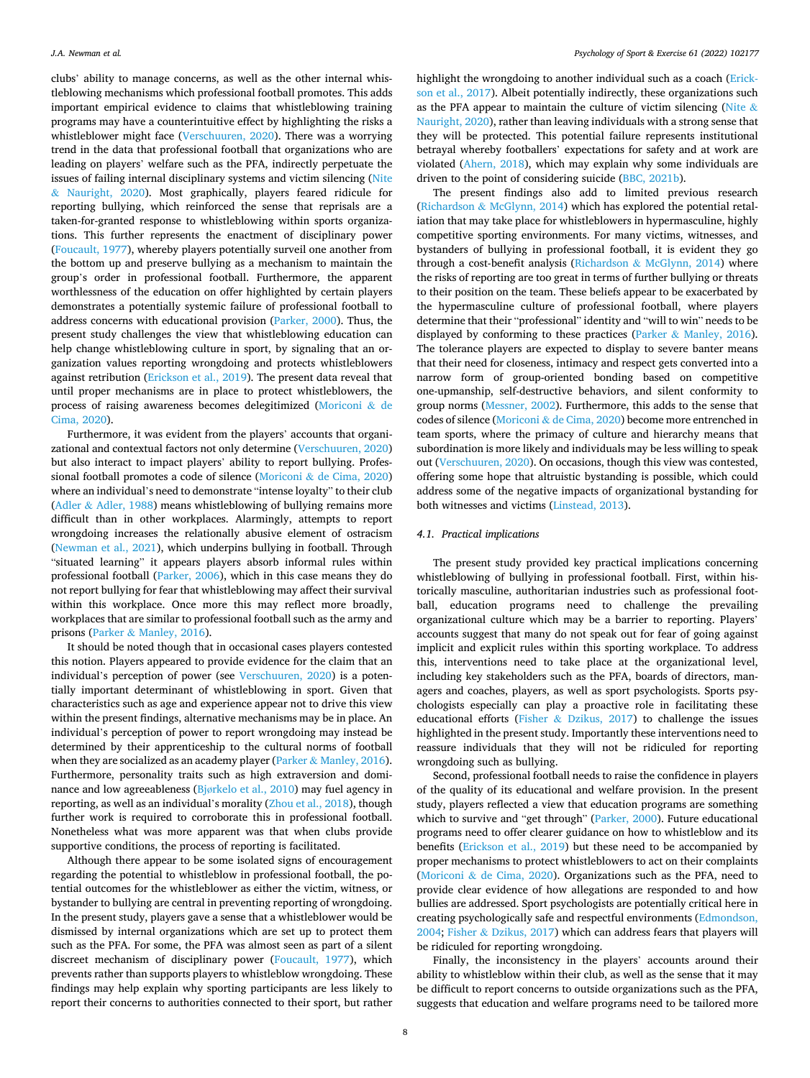clubs' ability to manage concerns, as well as the other internal whistleblowing mechanisms which professional football promotes. This adds important empirical evidence to claims that whistleblowing training programs may have a counterintuitive effect by highlighting the risks a whistleblower might face [\(Verschuuren, 2020\)](#page-9-0). There was a worrying trend in the data that professional football that organizations who are leading on players' welfare such as the PFA, indirectly perpetuate the issues of failing internal disciplinary systems and victim silencing ([Nite](#page-9-0)  & [Nauright, 2020\)](#page-9-0). Most graphically, players feared ridicule for reporting bullying, which reinforced the sense that reprisals are a taken-for-granted response to whistleblowing within sports organizations. This further represents the enactment of disciplinary power ([Foucault, 1977\)](#page-8-0), whereby players potentially surveil one another from the bottom up and preserve bullying as a mechanism to maintain the group's order in professional football. Furthermore, the apparent worthlessness of the education on offer highlighted by certain players demonstrates a potentially systemic failure of professional football to address concerns with educational provision ([Parker, 2000\)](#page-9-0). Thus, the present study challenges the view that whistleblowing education can help change whistleblowing culture in sport, by signaling that an organization values reporting wrongdoing and protects whistleblowers against retribution ([Erickson et al., 2019\)](#page-8-0). The present data reveal that until proper mechanisms are in place to protect whistleblowers, the process of raising awareness becomes delegitimized ([Moriconi](#page-9-0) & de [Cima, 2020](#page-9-0)).

Furthermore, it was evident from the players' accounts that organizational and contextual factors not only determine [\(Verschuuren, 2020\)](#page-9-0) but also interact to impact players' ability to report bullying. Professional football promotes a code of silence (Moriconi & [de Cima, 2020\)](#page-9-0) where an individual's need to demonstrate "intense loyalty" to their club (Adler & [Adler, 1988\)](#page-8-0) means whistleblowing of bullying remains more difficult than in other workplaces. Alarmingly, attempts to report wrongdoing increases the relationally abusive element of ostracism ([Newman et al., 2021](#page-9-0)), which underpins bullying in football. Through "situated learning" it appears players absorb informal rules within professional football ([Parker, 2006\)](#page-9-0), which in this case means they do not report bullying for fear that whistleblowing may affect their survival within this workplace. Once more this may reflect more broadly, workplaces that are similar to professional football such as the army and prisons (Parker & [Manley, 2016\)](#page-9-0).

It should be noted though that in occasional cases players contested this notion. Players appeared to provide evidence for the claim that an individual's perception of power (see [Verschuuren, 2020\)](#page-9-0) is a potentially important determinant of whistleblowing in sport. Given that characteristics such as age and experience appear not to drive this view within the present findings, alternative mechanisms may be in place. An individual's perception of power to report wrongdoing may instead be determined by their apprenticeship to the cultural norms of football when they are socialized as an academy player (Parker & [Manley, 2016](#page-9-0)). Furthermore, personality traits such as high extraversion and dominance and low agreeableness (Bjø[rkelo et al., 2010\)](#page-8-0) may fuel agency in reporting, as well as an individual's morality ([Zhou et al., 2018\)](#page-9-0), though further work is required to corroborate this in professional football. Nonetheless what was more apparent was that when clubs provide supportive conditions, the process of reporting is facilitated.

Although there appear to be some isolated signs of encouragement regarding the potential to whistleblow in professional football, the potential outcomes for the whistleblower as either the victim, witness, or bystander to bullying are central in preventing reporting of wrongdoing. In the present study, players gave a sense that a whistleblower would be dismissed by internal organizations which are set up to protect them such as the PFA. For some, the PFA was almost seen as part of a silent discreet mechanism of disciplinary power ([Foucault, 1977](#page-8-0)), which prevents rather than supports players to whistleblow wrongdoing. These findings may help explain why sporting participants are less likely to report their concerns to authorities connected to their sport, but rather

highlight the wrongdoing to another individual such as a coach ([Erick](#page-8-0)[son et al., 2017](#page-8-0)). Albeit potentially indirectly, these organizations such as the PFA appear to maintain the culture of victim silencing ([Nite](#page-9-0)  $\&$ [Nauright, 2020\)](#page-9-0), rather than leaving individuals with a strong sense that they will be protected. This potential failure represents institutional betrayal whereby footballers' expectations for safety and at work are violated [\(Ahern, 2018\)](#page-8-0), which may explain why some individuals are driven to the point of considering suicide [\(BBC, 2021b\)](#page-8-0).

The present findings also add to limited previous research (Richardson & [McGlynn, 2014\)](#page-9-0) which has explored the potential retaliation that may take place for whistleblowers in hypermasculine, highly competitive sporting environments. For many victims, witnesses, and bystanders of bullying in professional football, it is evident they go through a cost-benefit analysis (Richardson & [McGlynn, 2014\)](#page-9-0) where the risks of reporting are too great in terms of further bullying or threats to their position on the team. These beliefs appear to be exacerbated by the hypermasculine culture of professional football, where players determine that their "professional" identity and "will to win" needs to be displayed by conforming to these practices (Parker & [Manley, 2016](#page-9-0)). The tolerance players are expected to display to severe banter means that their need for closeness, intimacy and respect gets converted into a narrow form of group-oriented bonding based on competitive one-upmanship, self-destructive behaviors, and silent conformity to group norms [\(Messner, 2002](#page-9-0)). Furthermore, this adds to the sense that codes of silence (Moriconi & [de Cima, 2020\)](#page-9-0) become more entrenched in team sports, where the primacy of culture and hierarchy means that subordination is more likely and individuals may be less willing to speak out [\(Verschuuren, 2020\)](#page-9-0). On occasions, though this view was contested, offering some hope that altruistic bystanding is possible, which could address some of the negative impacts of organizational bystanding for both witnesses and victims ([Linstead, 2013\)](#page-9-0).

# *4.1. Practical implications*

The present study provided key practical implications concerning whistleblowing of bullying in professional football. First, within historically masculine, authoritarian industries such as professional football, education programs need to challenge the prevailing organizational culture which may be a barrier to reporting. Players' accounts suggest that many do not speak out for fear of going against implicit and explicit rules within this sporting workplace. To address this, interventions need to take place at the organizational level, including key stakeholders such as the PFA, boards of directors, managers and coaches, players, as well as sport psychologists. Sports psychologists especially can play a proactive role in facilitating these educational efforts (Fisher & [Dzikus, 2017\)](#page-8-0) to challenge the issues highlighted in the present study. Importantly these interventions need to reassure individuals that they will not be ridiculed for reporting wrongdoing such as bullying.

Second, professional football needs to raise the confidence in players of the quality of its educational and welfare provision. In the present study, players reflected a view that education programs are something which to survive and "get through" ([Parker, 2000](#page-9-0)). Future educational programs need to offer clearer guidance on how to whistleblow and its benefits [\(Erickson et al., 2019](#page-8-0)) but these need to be accompanied by proper mechanisms to protect whistleblowers to act on their complaints (Moriconi & [de Cima, 2020\)](#page-9-0). Organizations such as the PFA, need to provide clear evidence of how allegations are responded to and how bullies are addressed. Sport psychologists are potentially critical here in creating psychologically safe and respectful environments [\(Edmondson,](#page-8-0)  [2004;](#page-8-0) Fisher & [Dzikus, 2017\)](#page-8-0) which can address fears that players will be ridiculed for reporting wrongdoing.

Finally, the inconsistency in the players' accounts around their ability to whistleblow within their club, as well as the sense that it may be difficult to report concerns to outside organizations such as the PFA, suggests that education and welfare programs need to be tailored more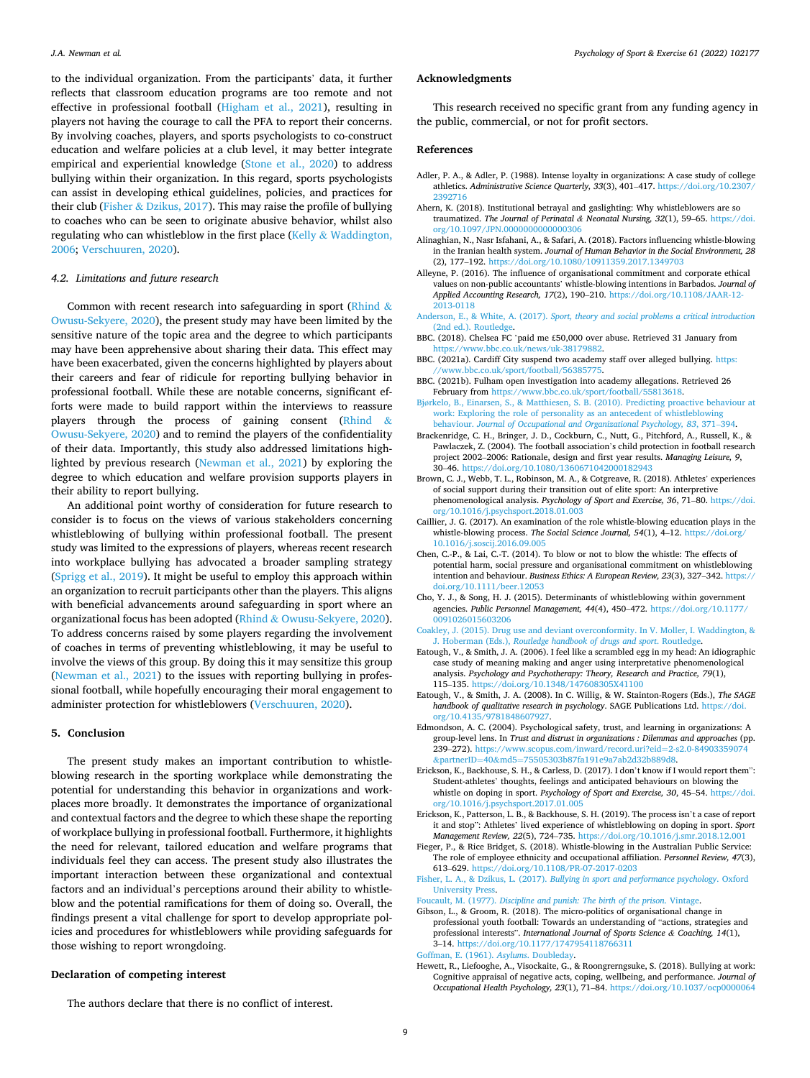<span id="page-8-0"></span>to the individual organization. From the participants' data, it further reflects that classroom education programs are too remote and not effective in professional football ([Higham et al., 2021\)](#page-9-0), resulting in players not having the courage to call the PFA to report their concerns. By involving coaches, players, and sports psychologists to co-construct education and welfare policies at a club level, it may better integrate empirical and experiential knowledge [\(Stone et al., 2020](#page-9-0)) to address bullying within their organization. In this regard, sports psychologists can assist in developing ethical guidelines, policies, and practices for their club (Fisher & Dzikus, 2017). This may raise the profile of bullying to coaches who can be seen to originate abusive behavior, whilst also regulating who can whistleblow in the first place (Kelly & Waddington, [2006; Verschuuren, 2020](#page-9-0)).

#### *4.2. Limitations and future research*

Common with recent research into safeguarding in sport [\(Rhind](#page-9-0)  $\&$ [Owusu-Sekyere, 2020](#page-9-0)), the present study may have been limited by the sensitive nature of the topic area and the degree to which participants may have been apprehensive about sharing their data. This effect may have been exacerbated, given the concerns highlighted by players about their careers and fear of ridicule for reporting bullying behavior in professional football. While these are notable concerns, significant efforts were made to build rapport within the interviews to reassure players through the process of gaining consent ([Rhind](#page-9-0) & [Owusu-Sekyere, 2020\)](#page-9-0) and to remind the players of the confidentiality of their data. Importantly, this study also addressed limitations highlighted by previous research [\(Newman et al., 2021\)](#page-9-0) by exploring the degree to which education and welfare provision supports players in their ability to report bullying.

An additional point worthy of consideration for future research to consider is to focus on the views of various stakeholders concerning whistleblowing of bullying within professional football. The present study was limited to the expressions of players, whereas recent research into workplace bullying has advocated a broader sampling strategy ([Sprigg et al., 2019\)](#page-9-0). It might be useful to employ this approach within an organization to recruit participants other than the players. This aligns with beneficial advancements around safeguarding in sport where an organizational focus has been adopted (Rhind & [Owusu-Sekyere, 2020](#page-9-0)). To address concerns raised by some players regarding the involvement of coaches in terms of preventing whistleblowing, it may be useful to involve the views of this group. By doing this it may sensitize this group ([Newman et al., 2021\)](#page-9-0) to the issues with reporting bullying in professional football, while hopefully encouraging their moral engagement to administer protection for whistleblowers ([Verschuuren, 2020\)](#page-9-0).

# **5. Conclusion**

The present study makes an important contribution to whistleblowing research in the sporting workplace while demonstrating the potential for understanding this behavior in organizations and workplaces more broadly. It demonstrates the importance of organizational and contextual factors and the degree to which these shape the reporting of workplace bullying in professional football. Furthermore, it highlights the need for relevant, tailored education and welfare programs that individuals feel they can access. The present study also illustrates the important interaction between these organizational and contextual factors and an individual's perceptions around their ability to whistleblow and the potential ramifications for them of doing so. Overall, the findings present a vital challenge for sport to develop appropriate policies and procedures for whistleblowers while providing safeguards for those wishing to report wrongdoing.

### **Declaration of competing interest**

#### **Acknowledgments**

This research received no specific grant from any funding agency in the public, commercial, or not for profit sectors.

# **References**

- Adler, P. A., & Adler, P. (1988). Intense loyalty in organizations: A case study of college athletics. *Administrative Science Quarterly, 33*(3), 401–417. [https://doi.org/10.2307/](https://doi.org/10.2307/2392716)
- [2392716](https://doi.org/10.2307/2392716)  Ahern, K. (2018). Institutional betrayal and gaslighting: Why whistleblowers are so traumatized. *The Journal of Perinatal & Neonatal Nursing, 32*(1), 59–65. [https://doi.](https://doi.org/10.1097/JPN.0000000000000306)  [org/10.1097/JPN.0000000000000306](https://doi.org/10.1097/JPN.0000000000000306)
- Alinaghian, N., Nasr Isfahani, A., & Safari, A. (2018). Factors influencing whistle-blowing in the Iranian health system. *Journal of Human Behavior in the Social Environment, 28*  (2), 177–192.<https://doi.org/10.1080/10911359.2017.1349703>
- Alleyne, P. (2016). The influence of organisational commitment and corporate ethical values on non-public accountants' whistle-blowing intentions in Barbados. *Journal of Applied Accounting Research, 17*(2), 190–210. [https://doi.org/10.1108/JAAR-12-](https://doi.org/10.1108/JAAR-12-2013-0118) [2013-0118](https://doi.org/10.1108/JAAR-12-2013-0118)
- Anderson, E., & White, A. (2017). *[Sport, theory and social problems a critical introduction](http://refhub.elsevier.com/S1469-0292(22)00045-0/sref4)*  [\(2nd ed.\). Routledge](http://refhub.elsevier.com/S1469-0292(22)00045-0/sref4).
- BBC. (2018). Chelsea FC 'paid me £50,000 over abuse. Retrieved 31 January from [https://www.bbc.co.uk/news/uk-38179882.](https://www.bbc.co.uk/news/uk-38179882)
- BBC. (2021a). Cardiff City suspend two academy staff over alleged bullying. [https:](https://www.bbc.co.uk/sport/football/56385775) [//www.bbc.co.uk/sport/football/56385775.](https://www.bbc.co.uk/sport/football/56385775)
- BBC. (2021b). Fulham open investigation into academy allegations. Retrieved 26 February from [https://www.bbc.co.uk/sport/football/55813618.](https://www.bbc.co.uk/sport/football/55813618)
- Bjø[rkelo, B., Einarsen, S., & Matthiesen, S. B. \(2010\). Predicting proactive behaviour at](http://refhub.elsevier.com/S1469-0292(22)00045-0/sref8)  [work: Exploring the role of personality as an antecedent of whistleblowing](http://refhub.elsevier.com/S1469-0292(22)00045-0/sref8) behaviour. *[Journal of Occupational and Organizational Psychology, 83](http://refhub.elsevier.com/S1469-0292(22)00045-0/sref8)*, 371–394.
- Brackenridge, C. H., Bringer, J. D., Cockburn, C., Nutt, G., Pitchford, A., Russell, K., & Pawlaczek, Z. (2004). The football association's child protection in football research project 2002–2006: Rationale, design and first year results. *Managing Leisure, 9*, 30–46. <https://doi.org/10.1080/1360671042000182943>
- Brown, C. J., Webb, T. L., Robinson, M. A., & Cotgreave, R. (2018). Athletes' experiences of social support during their transition out of elite sport: An interpretive phenomenological analysis. *Psychology of Sport and Exercise, 36*, 71–80. [https://doi.](https://doi.org/10.1016/j.psychsport.2018.01.003)  [org/10.1016/j.psychsport.2018.01.003](https://doi.org/10.1016/j.psychsport.2018.01.003)
- Caillier, J. G. (2017). An examination of the role whistle-blowing education plays in the whistle-blowing process. *The Social Science Journal, 54*(1), 4–12. [https://doi.org/](https://doi.org/10.1016/j.soscij.2016.09.005) [10.1016/j.soscij.2016.09.005](https://doi.org/10.1016/j.soscij.2016.09.005)
- Chen, C.-P., & Lai, C.-T. (2014). To blow or not to blow the whistle: The effects of potential harm, social pressure and organisational commitment on whistleblowing intention and behaviour. *Business Ethics: A European Review, 23*(3), 327–342. [https://](https://doi.org/10.1111/beer.12053)  [doi.org/10.1111/beer.12053](https://doi.org/10.1111/beer.12053)
- Cho, Y. J., & Song, H. J. (2015). Determinants of whistleblowing within government agencies. *Public Personnel Management, 44*(4), 450–472. [https://doi.org/10.1177/](https://doi.org/10.1177/0091026015603206) [0091026015603206](https://doi.org/10.1177/0091026015603206)
- [Coakley, J. \(2015\). Drug use and deviant overconformity. In V. Moller, I. Waddington, &](http://refhub.elsevier.com/S1469-0292(22)00045-0/sref14)  J. Hoberman (Eds.), *[Routledge handbook of drugs and sport](http://refhub.elsevier.com/S1469-0292(22)00045-0/sref14)*. Routledge.
- Eatough, V., & Smith, J. A. (2006). I feel like a scrambled egg in my head: An idiographic case study of meaning making and anger using interpretative phenomenological analysis. *Psychology and Psychotherapy: Theory, Research and Practice, 79*(1), 115–135. <https://doi.org/10.1348/147608305X41100>
- Eatough, V., & Smith, J. A. (2008). In C. Willig, & W. Stainton-Rogers (Eds.), *The SAGE handbook of qualitative research in psychology*. SAGE Publications Ltd. [https://doi.](https://doi.org/10.4135/9781848607927) [org/10.4135/9781848607927](https://doi.org/10.4135/9781848607927).
- Edmondson, A. C. (2004). Psychological safety, trust, and learning in organizations: A group-level lens. In *Trust and distrust in organizations : Dilemmas and approaches* (pp. 239–272). [https://www.scopus.com/inward/record.uri?eid](https://www.scopus.com/inward/record.uri?eid=2-s2.0-84903359074&partnerID=40&md5=75505303b87fa191e9a7ab2d32b889d8)=2-s2.0-84903359074 &partnerID=40&md5=[75505303b87fa191e9a7ab2d32b889d8](https://www.scopus.com/inward/record.uri?eid=2-s2.0-84903359074&partnerID=40&md5=75505303b87fa191e9a7ab2d32b889d8).
- Erickson, K., Backhouse, S. H., & Carless, D. (2017). I don't know if I would report them": Student-athletes' thoughts, feelings and anticipated behaviours on blowing the whistle on doping in sport. *Psychology of Sport and Exercise, 30*, 45–54. [https://doi.](https://doi.org/10.1016/j.psychsport.2017.01.005)  [org/10.1016/j.psychsport.2017.01.005](https://doi.org/10.1016/j.psychsport.2017.01.005)
- Erickson, K., Patterson, L. B., & Backhouse, S. H. (2019). The process isn't a case of report it and stop": Athletes' lived experience of whistleblowing on doping in sport. *Sport Management Review, 22*(5), 724–735.<https://doi.org/10.1016/j.smr.2018.12.001>
- Fieger, P., & Rice Bridget, S. (2018). Whistle-blowing in the Australian Public Service: The role of employee ethnicity and occupational affiliation. *Personnel Review, 47*(3), 613–629. <https://doi.org/10.1108/PR-07-2017-0203>

Fisher, L. A., & Dzikus, L. (2017). *[Bullying in sport and performance psychology](http://refhub.elsevier.com/S1469-0292(22)00045-0/sref21)*. Oxford [University Press](http://refhub.elsevier.com/S1469-0292(22)00045-0/sref21).

Gibson, L., & Groom, R. (2018). The micro-politics of organisational change in professional youth football: Towards an understanding of "actions, strategies and professional interests". *International Journal of Sports Science & Coaching, 14*(1), 3–14.<https://doi.org/10.1177/1747954118766311> [Goffman, E. \(1961\).](http://refhub.elsevier.com/S1469-0292(22)00045-0/sref24) *Asylums*. Doubleday.

Hewett, R., Liefooghe, A., Visockaite, G., & Roongrerngsuke, S. (2018). Bullying at work: Cognitive appraisal of negative acts, coping, wellbeing, and performance. *Journal of Occupational Health Psychology, 23*(1), 71–84. <https://doi.org/10.1037/ocp0000064>

The authors declare that there is no conflict of interest.

Foucault, M. (1977). *[Discipline and punish: The birth of the prison](http://refhub.elsevier.com/S1469-0292(22)00045-0/sref22)*. Vintage.